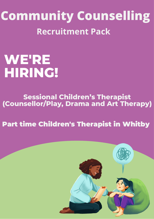**Community Counselling Recruitment Pack**

# **WE'RE HIRING!**

# **Sessional Children's Therapist (Counsellor/Play, Drama and Art Therapy)**

# Part time Children's Therapist in Whitby

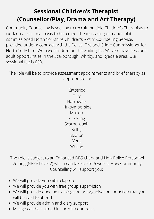# **Sessional Children's Therapist (Counsellor/Play, Drama and Art Therapy)**

Community Counselling is seeking to recruit multiple Children's Therapists to work on a sessional basis to help meet the increasing demands of its commissioned North Yorkshire Children's Victim Counselling Service, provided under a contract with the Police, Fire and Crime Commissioner for North Yorkshire. We have children on the waiting list. We also have sessional adult opportunities in the Scarborough, Whitby, and Ryedale area. Our sessional fee is £30.

The role will be to provide assessment appointments and brief therapy as appropriate in:

> Catterick Filey Harrogate Kirkbymoorside Malton Pickering Scarborough Selby Skipton York Whitby

The role is subject to an Enhanced DBS check and Non-Police Personnel Vetting (NPPV Level 2) which can take up to 6 weeks. How Community Counselling will support you:

- We will provide you with a laptop
- We will provide you with free group supervision
- We will provide ongoing training and an organisation Induction that you will be paid to attend.
- We will provide admin and diary support
- Millage can be claimed in line with our policy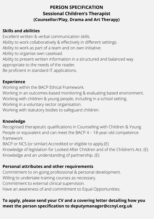# **PERSON SPECIFICATION Sessional Children's Therapist (Counsellor/Play, Drama and Art Therapy)**

# **Skills and abilities**

Excellent written & verbal communication skills. Ability to work collaboratively & effectively in different settings. Ability to work as part of a team and on own initiative. Ability to organise own caseload. Ability to present written information in a structured and balanced way appropriate to the needs of the reader. Be proficient in standard IT applications.

#### **Experience**

Working within the BACP Ethical Framework.

Working in an outcomes-based monitoring & evaluating based environment. Working with children & young people, including in a school setting. Working in a voluntary sector organisation.

Working with statutory bodies to safeguard children.

# **Knowledge**

Recognised therapeutic qualifications in Counselling with Children & Young People or equivalent and can meet the BACP 4 – 18-year-old competence framework

BACP or NCS (or similar) Accredited or eligible to apply.(E)

Knowledge of legislation for Looked After Children and of the Children's Act. (E) Knowledge and an understanding of partnership. (E)

# **Personal attributes and other requirements**

Commitment to on-going professional & personal development. Willing to undertake training courses as necessary. Commitment to external clinical supervision. Have an awareness of and commitment to Equal Opportunities.

# **To apply, please send your CV and a covering letter detailing how you meet the person specification to deputymanager@ccnyl.org.uk**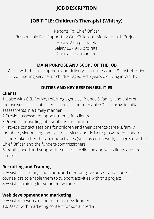# **JOB DESCRIPTION**

# **JOB TITLE: Children's Therapist (Whitby)**

Reports To: Chief Officer Responsible For: Supporting Our Children's Mental Health Project Hours: 22.5 per week Salary:£27,945 pro rata Contract: permanent

#### **MAIN PURPOSE AND SCOPE OF THE JOB**

Assist with the development and delivery of a professional & cost-effective counselling service for children aged 9-16 years old living in Whitby:

# **DUTIES AND KEY RESPONSIBILITIES**

#### **Clients**

1.Liaise with CCL Admin, referring agencies, friends & family, and children themselves to facilitate client referrals and to enable CCL to provide initial assessments in a timely manner

2.Provide assessment appointments for clients

3.Provide counselling interventions for children

4.Provide contact sessions for children and their parents/careers/family members, signposting families to services and delivering psychoeducation 5.Undertake other therapeutic activities (such as group work) as agreed with the Chief Officer and the funders/commissioners

6.Identify need and support the use of a wellbeing app with clients and their families.

# **Recruiting and Training**

7.Assist in recruiting, induction, and mentoring volunteer and student counsellors to enable them to support activities with this project 8.Assist in training for volunteers/students

# **Web development and marketing**

9.Assist with website and resource development 10. Assist with marketing content for social media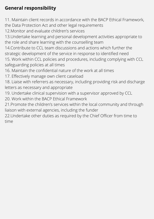# **General responsibility**

11. Maintain client records in accordance with the BACP Ethical Framework, the Data Protection Act and other legal requirements

12.Monitor and evaluate children's services

13.Undertake learning and personal development activities appropriate to the role and share learning with the counselling team

14.Contribute to CCL team discussions and actions which further the strategic development of the service in response to identified need

15. Work within CCL policies and procedures, including complying with CCL safeguarding policies at all times

16. Maintain the confidential nature of the work at all times

17. Effectively manage own client caseload

18. Liaise with referrers as necessary, including providing risk and discharge letters as necessary and appropriate

19. Undertake clinical supervision with a supervisor approved by CCL

20. Work within the BACP Ethical Framework

21.Promote the children's services within the local community and through liaison with external agencies, including the funder

22.Undertake other duties as required by the Chief Officer from time to time